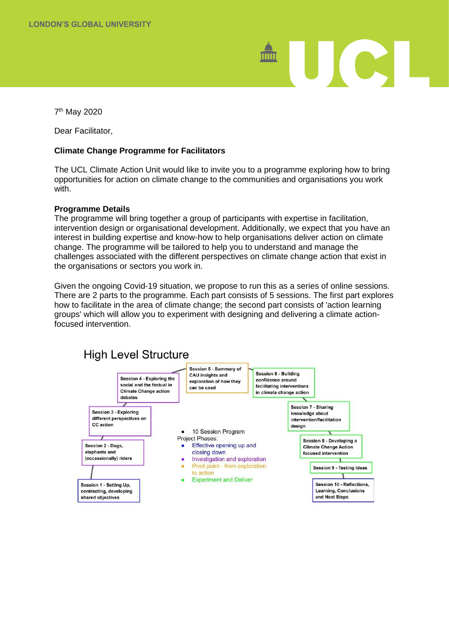# UC

7<sup>th</sup> May 2020

Dear Facilitator,

## **Climate Change Programme for Facilitators**

The UCL Climate Action Unit would like to invite you to a programme exploring how to bring opportunities for action on climate change to the communities and organisations you work with.

### **Programme Details**

The programme will bring together a group of participants with expertise in facilitation, intervention design or organisational development. Additionally, we expect that you have an interest in building expertise and know-how to help organisations deliver action on climate change. The programme will be tailored to help you to understand and manage the challenges associated with the different perspectives on climate change action that exist in the organisations or sectors you work in.

Given the ongoing Covid-19 situation, we propose to run this as a series of online sessions. There are 2 parts to the programme. Each part consists of 5 sessions. The first part explores how to facilitate in the area of climate change; the second part consists of 'action learning groups' which will allow you to experiment with designing and delivering a climate actionfocused intervention.

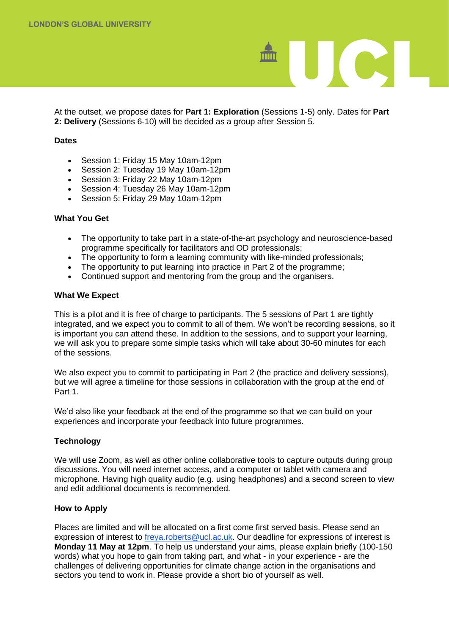## ICI

At the outset, we propose dates for **Part 1: Exploration** (Sessions 1-5) only. Dates for **Part 2: Delivery** (Sessions 6-10) will be decided as a group after Session 5.

### **Dates**

- Session 1: Friday 15 May 10am-12pm
- Session 2: Tuesday 19 May 10am-12pm
- Session 3: Friday 22 May 10am-12pm
- Session 4: Tuesday 26 May 10am-12pm
- Session 5: Friday 29 May 10am-12pm

### **What You Get**

- The opportunity to take part in a state-of-the-art psychology and neuroscience-based programme specifically for facilitators and OD professionals;
- The opportunity to form a learning community with like-minded professionals;
- The opportunity to put learning into practice in Part 2 of the programme;
- Continued support and mentoring from the group and the organisers.

### **What We Expect**

This is a pilot and it is free of charge to participants. The 5 sessions of Part 1 are tightly integrated, and we expect you to commit to all of them. We won't be recording sessions, so it is important you can attend these. In addition to the sessions, and to support your learning, we will ask you to prepare some simple tasks which will take about 30-60 minutes for each of the sessions.

We also expect you to commit to participating in Part 2 (the practice and delivery sessions), but we will agree a timeline for those sessions in collaboration with the group at the end of Part 1.

We'd also like your feedback at the end of the programme so that we can build on your experiences and incorporate your feedback into future programmes.

### **Technology**

We will use Zoom, as well as other online collaborative tools to capture outputs during group discussions. You will need internet access, and a computer or tablet with camera and microphone. Having high quality audio (e.g. using headphones) and a second screen to view and edit additional documents is recommended.

### **How to Apply**

Places are limited and will be allocated on a first come first served basis. Please send an expression of interest to [freya.roberts@ucl.ac.uk.](mailto:freya.roberts@ucl.ac.uk) Our deadline for expressions of interest is **Monday 11 May at 12pm**. To help us understand your aims, please explain briefly (100-150 words) what you hope to gain from taking part, and what - in your experience - are the challenges of delivering opportunities for climate change action in the organisations and sectors you tend to work in. Please provide a short bio of yourself as well.